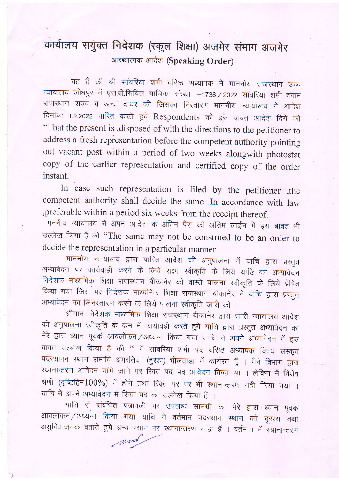## कार्यालय संयुक्त निदेशक (स्कुल शिक्षा) अजमेर संभाग अजमेर आख्यात्मक आदेश (Speaking Order)

्यह है की श्री सांवरिया शर्मा वरिष्ठ अध्यापक ने माननीय राजस्थान उच्च<br>न्यायालय जोधपुर में एस.बी.सिविल याचिका संख्या :-1738 / 2022 सांवरिया शर्मा बनाम राजस्थान राज्य व अन्य दायर की जिसका निस्तारण माननीय न्यायालय ने आदेश दिनांक:-1.2.2022 पारित करते हुये Respondents को इस बाबत आदेश दिये की "That the present is ,disposed of with the directions to the petitioner to address a fresh repiesentation before the competent authority pointing out vacant post within a period of two weeks alongwith photostat copy of the earlier representation and certified copy of the order instant.

In case such representation is filed by the petitioner ,the competent authority shall decide the same .In accordance with law ,preferable within a period six weeks from the receipt thereof.

मननीय न्यायालय ने अपने आदेश के अंतिम पैरा की अंतिम लाईन में इस बाबत भी उल्लेख किया है की "The same may not be construed to be an order to decide the representation in a particular manner.

माननीय न्यायालय द्वारा पारित आदेश की अनुपालना में याचि द्वारा प्रस्तुत अभ्यावेदन पर कार्यवाही करने के लिये सक्ष्म स्वीकृति के लिये याखि का अभ्यावेदन निदेशक माध्यमिक शिक्षा राजस्थान बीकानेर को वास्ते पालना स्वीकृति के लिये प्रेषित किया गया जिस पर निदेशक माध्यमिक शिक्षा राजस्थान बीकानेर ने याचि द्वारा प्रस्तुत अभ्यावेदन का लिनस्तारण करने के लिये पालना स्वीकृति जारी की ।

श्रीमान निदेशक माध्यमिक शिक्षा राजस्थान बीकानेर द्वारा जारी न्यायालय आदेश की अनुपालना स्वीकृति के क्रम में कार्यावही करते हुये याचि द्वारा प्रस्तुत अभ्यावेदन का<br>मेरे द्वारा ध्यान पूवर्क आवलोकन ⁄ अध्यन्न किया गया याचि ने अपने अभ्यावेदन में इस बाबत उल्लेख किया है की '' मैं सांवरिया शर्मा पद वरिष्ठ अध्यापक विषय संस्कृत<br>पदस्थापन स्थान रामावि अमरतिया (हुरडा) भीलवाडा में कार्यरत हुॅ । मैने विभाग द्वारा<br>स्थानान्तरण आवेदन मांगे जाने पर रिक्त पद पद आवेदन किया था । लेक श्रेणी (दृष्टिहिन $100\%$ ) में होने तथा रिक्त पर पर भी स्थानान्तरण नही किया गया । याचि ने अपने अभ्यावेदन में रिक्त पद का उल्लेख किया हैं ।

याचि से संबंधित पत्रावली पर उपलब्ध सामग्री का मेरे द्वारा ध्यान पूवर्क आवलोकन / अध्यन्न किया गया याचि ने वर्तमान पदस्थान स्थान को दूरस्थ तथा असुविधाजनक बताते हुये अन्य स्थान पर स्थानान्तरण चाहा हैं । वर्तमान में स्थानान्तरण

.z/4>''